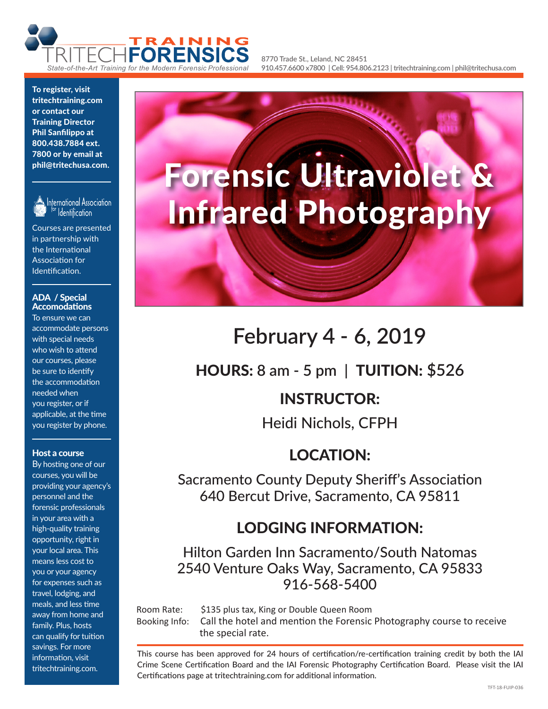

**8770 Trade St., Leland, NC 28451 910.457.6600 x7800 | Cell: 954.806.2123 | tritechtraining.com | phil@tritechusa.com**

To register, visit tritechtraining.com or contact our Training Director Phil Sanfilippo at 800.438.7884 ext. 7800 or by email at phil@tritechusa.com.



International Association **Identification** 

Courses are presented in partnership with the International Association for Identification.

#### ADA / Special Accomodations

To ensure we can accommodate persons with special needs who wish to attend our courses, please be sure to identify the accommodation needed when you register, or if applicable, at the time you register by phone.

#### Host a course

By hosting one of our courses, you will be providing your agency's personnel and the forensic professionals in your area with a high-quality training opportunity, right in your local area. This means less cost to you or your agency for expenses such as travel, lodging, and meals, and less time away from home and family. Plus, hosts can qualify for tuition savings. For more information, visit tritechtraining.com.



# **February 4 - 6, 2019**

HOURS: **8 am - 5 pm |** TUITION: **\$526**

### INSTRUCTOR:

Heidi Nichols, CFPH

### LOCATION:

Sacramento County Deputy Sheriff's Association 640 Bercut Drive, Sacramento, CA 95811

### LODGING INFORMATION:

Hilton Garden Inn Sacramento/South Natomas 2540 Venture Oaks Way, Sacramento, CA 95833 916-568-5400

Room Rate: \$135 plus tax, King or Double Queen Room Booking Info: Call the hotel and mention the Forensic Photography course to receive the special rate.

This course has been approved for 24 hours of certification/re-certification training credit by both the IAI Crime Scene Certification Board and the IAI Forensic Photography Certification Board. Please visit the IAI Certifications page at tritechtraining.com for additional information.